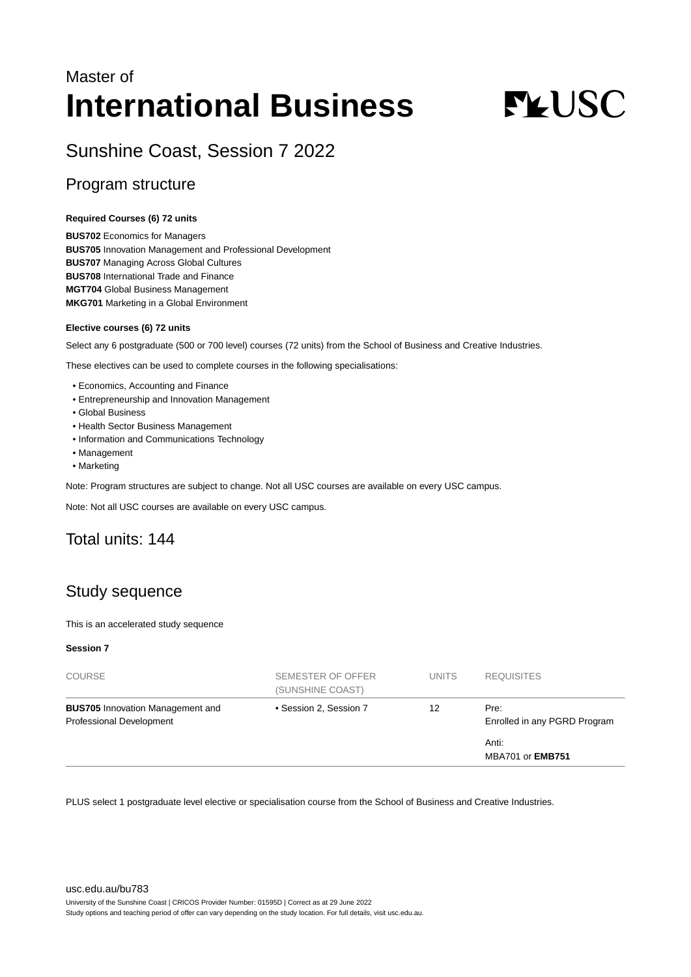## Master of **International Business**

# **FLUSC**

Sunshine Coast, Session 7 2022

## Program structure

#### **Required Courses (6) 72 units**

**BUS702** Economics for Managers **BUS705** Innovation Management and Professional Development **BUS707** Managing Across Global Cultures **BUS708** International Trade and Finance **MGT704** Global Business Management **MKG701** Marketing in a Global Environment

#### **Elective courses (6) 72 units**

Select any 6 postgraduate (500 or 700 level) courses (72 units) from the School of Business and Creative Industries.

These electives can be used to complete courses in the following specialisations:

- Economics, Accounting and Finance
- Entrepreneurship and Innovation Management
- Global Business
- Health Sector Business Management
- Information and Communications Technology
- Management
- Marketing

Note: Program structures are subject to change. Not all USC courses are available on every USC campus.

Note: Not all USC courses are available on every USC campus.

## Total units: 144

## Study sequence

This is an accelerated study sequence

#### **Session 7**

| <b>COURSE</b>                                                              | SEMESTER OF OFFER<br>(SUNSHINE COAST) | <b>UNITS</b> | <b>REQUISITES</b>                    |
|----------------------------------------------------------------------------|---------------------------------------|--------------|--------------------------------------|
| <b>BUS705</b> Innovation Management and<br><b>Professional Development</b> | • Session 2, Session 7                | 12           | Pre:<br>Enrolled in any PGRD Program |
|                                                                            |                                       |              | Anti:<br><b>MBA701 or EMB751</b>     |

PLUS select 1 postgraduate level elective or specialisation course from the School of Business and Creative Industries.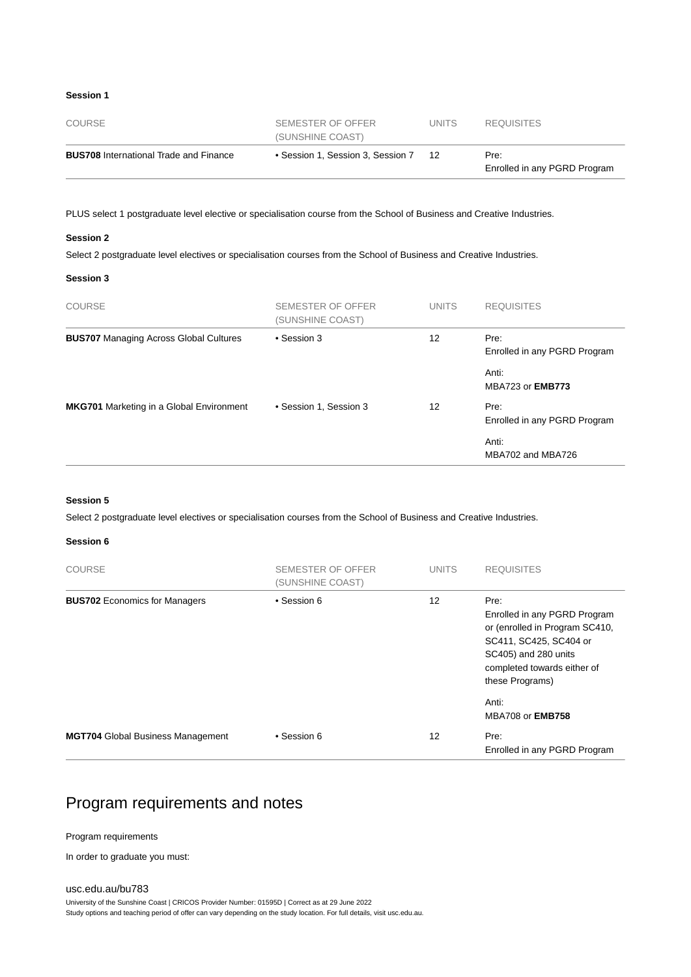#### **Session 1**

| COURSE                                        | SEMESTER OF OFFER<br>(SUNSHINE COAST) | UNITS. | <b>REQUISITES</b>                    |
|-----------------------------------------------|---------------------------------------|--------|--------------------------------------|
| <b>BUS708</b> International Trade and Finance | • Session 1, Session 3, Session 7     | 12     | Pre:<br>Enrolled in any PGRD Program |

PLUS select 1 postgraduate level elective or specialisation course from the School of Business and Creative Industries.

#### **Session 2**

Select 2 postgraduate level electives or specialisation courses from the School of Business and Creative Industries.

#### **Session 3**

| <b>COURSE</b>                                   | SEMESTER OF OFFER<br>(SUNSHINE COAST) | <b>UNITS</b> | <b>REQUISITES</b>                    |
|-------------------------------------------------|---------------------------------------|--------------|--------------------------------------|
| <b>BUS707</b> Managing Across Global Cultures   | • Session 3                           | 12           | Pre:<br>Enrolled in any PGRD Program |
|                                                 |                                       |              | Anti:<br>MBA723 or <b>EMB773</b>     |
| <b>MKG701</b> Marketing in a Global Environment | • Session 1, Session 3                | 12           | Pre:<br>Enrolled in any PGRD Program |
|                                                 |                                       |              | Anti:<br>MBA702 and MBA726           |

#### **Session 5**

Select 2 postgraduate level electives or specialisation courses from the School of Business and Creative Industries.

#### **Session 6**

| <b>COURSE</b>                            | SEMESTER OF OFFER<br>(SUNSHINE COAST) | <b>UNITS</b> | <b>REQUISITES</b>                                                                                                                                                          |
|------------------------------------------|---------------------------------------|--------------|----------------------------------------------------------------------------------------------------------------------------------------------------------------------------|
| <b>BUS702</b> Economics for Managers     | • Session 6                           | 12           | Pre:<br>Enrolled in any PGRD Program<br>or (enrolled in Program SC410,<br>SC411, SC425, SC404 or<br>SC405) and 280 units<br>completed towards either of<br>these Programs) |
|                                          |                                       |              | Anti:<br><b>MBA708 or EMB758</b>                                                                                                                                           |
| <b>MGT704</b> Global Business Management | • Session 6                           | 12           | Pre:<br>Enrolled in any PGRD Program                                                                                                                                       |

## Program requirements and notes

#### Program requirements

In order to graduate you must:

[usc.edu.au/bu783](https://www.usc.edu.au/bu783) University of the Sunshine Coast | CRICOS Provider Number: 01595D | Correct as at 29 June 2022 Study options and teaching period of offer can vary depending on the study location. For full details, visit usc.edu.au.